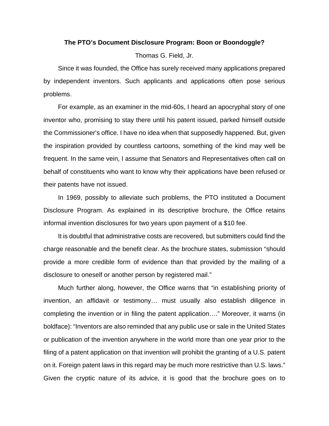## **The PTO's Document Disclosure Program: Boon or Boondoggle?**

Thomas G. Field, Jr.

 Since it was founded, the Office has surely received many applications prepared by independent inventors. Such applicants and applications often pose serious problems.

 For example, as an examiner in the mid-60s, I heard an apocryphal story of one inventor who, promising to stay there until his patent issued, parked himself outside the Commissioner's office. I have no idea when that supposedly happened. But, given the inspiration provided by countless cartoons, something of the kind may well be frequent. In the same vein, I assume that Senators and Representatives often call on behalf of constituents who want to know why their applications have been refused or their patents have not issued.

 In 1969, possibly to alleviate such problems, the PTO instituted a Document Disclosure Program. As explained in its descriptive brochure, the Office retains informal invention disclosures for two years upon payment of a \$10 fee.

 It is doubtful that administrative costs are recovered, but submitters could find the charge reasonable and the benefit clear. As the brochure states, submission "should provide a more credible form of evidence than that provided by the mailing of a disclosure to oneself or another person by registered mail."

 Much further along, however, the Office warns that "in establishing priority of invention, an affidavit or testimony… must usually also establish diligence in completing the invention or in filing the patent application…." Moreover, it warns (in boldface): "Inventors are also reminded that any public use or sale in the United States or publication of the invention anywhere in the world more than one year prior to the filing of a patent application on that invention will prohibit the granting of a U.S. patent on it. Foreign patent laws in this regard may be much more restrictive than U.S. laws." Given the cryptic nature of its advice, it is good that the brochure goes on to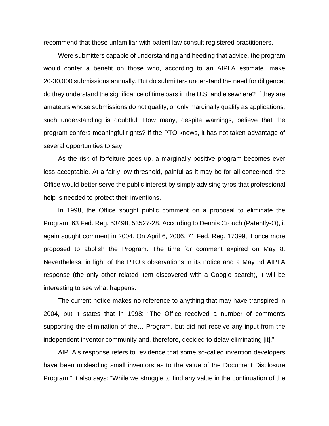recommend that those unfamiliar with patent law consult registered practitioners.

 Were submitters capable of understanding and heeding that advice, the program would confer a benefit on those who, according to an AIPLA estimate, make 20-30,000 submissions annually. But do submitters understand the need for diligence; do they understand the significance of time bars in the U.S. and elsewhere? If they are amateurs whose submissions do not qualify, or only marginally qualify as applications, such understanding is doubtful. How many, despite warnings, believe that the program confers meaningful rights? If the PTO knows, it has not taken advantage of several opportunities to say.

 As the risk of forfeiture goes up, a marginally positive program becomes ever less acceptable. At a fairly low threshold, painful as it may be for all concerned, the Office would better serve the public interest by simply advising tyros that professional help is needed to protect their inventions.

 In 1998, the Office sought public comment on a proposal to eliminate the Program; 63 Fed. Reg. 53498, 53527-28. According to Dennis Crouch (Patently-O), it again sought comment in 2004. On April 6, 2006, 71 Fed. Reg. 17399, it once more proposed to abolish the Program. The time for comment expired on May 8. Nevertheless, in light of the PTO's observations in its notice and a May 3d AIPLA response (the only other related item discovered with a Google search), it will be interesting to see what happens.

 The current notice makes no reference to anything that may have transpired in 2004, but it states that in 1998: "The Office received a number of comments supporting the elimination of the… Program, but did not receive any input from the independent inventor community and, therefore, decided to delay eliminating [it]."

 AIPLA's response refers to "evidence that some so-called invention developers have been misleading small inventors as to the value of the Document Disclosure Program." It also says: "While we struggle to find any value in the continuation of the